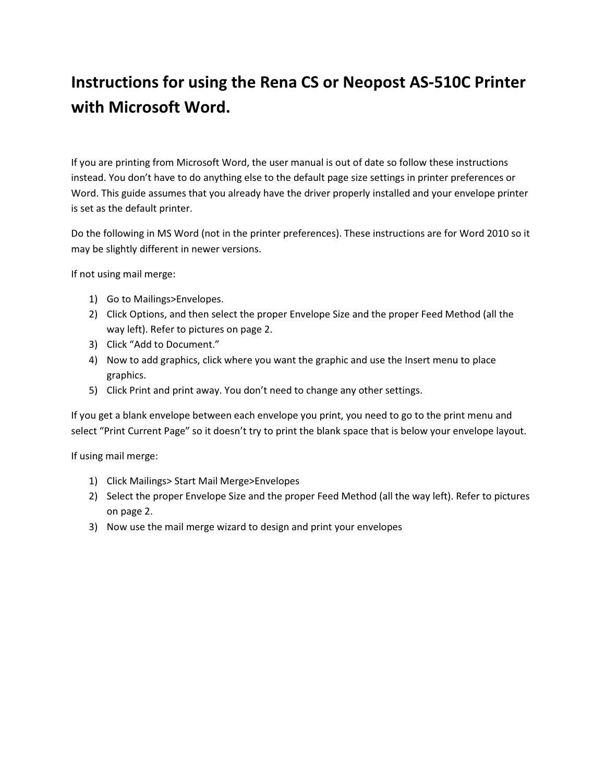## Instructions for using the Rena CS or Neopost AS-510C Printer with Microsoft Word.

If you are printing from Microsoft Word, the user manual is out of date so follow these instructions instead. You don't have to do anything else to the default page size settings in printer preferences or Word. This guide assumes that you already have the driver properly installed and your envelope printer is set as the default printer.

Do the following in MS Word (not in the printer preferences). These instructions are for Word 2010 so it may be slightly different in newer versions.

If not using mail merge:

- 1) Go to Mailings>Envelopes.
- 2) Click Options, and then select the proper Envelope Size and the proper Feed Method (all the way left). Refer to pictures on page 2.
- 3) Click "Add to Document."
- 4) Now to add graphics, click where you want the graphic and use the Insert menu to place graphics.
- 5) Click Print and print away. You don't need to change any other settings.

If you get a blank envelope between each envelope you print, you need to go to the print menu and select "Print Current Page" so it doesn't try to print the blank space that is below your envelope layout.

If using mail merge:

- 1) Click Mailings> Start Mail Merge>Envelopes
- 2) Select the proper Envelope Size and the proper Feed Method (all the way left). Refer to pictures on page 2.
- 3) Now use the mail merge wizard to design and print your envelopes